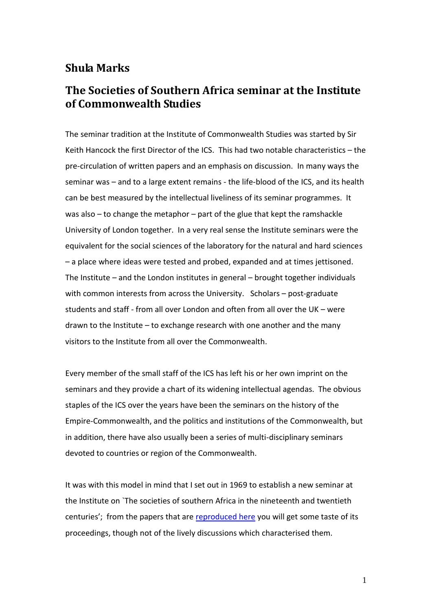## **Shula Marks**

## **The Societies of Southern Africa seminar at the Institute of Commonwealth Studies**

The seminar tradition at the Institute of Commonwealth Studies was started by Sir Keith Hancock the first Director of the ICS. This had two notable characteristics – the pre-circulation of written papers and an emphasis on discussion. In many ways the seminar was – and to a large extent remains - the life-blood of the ICS, and its health can be best measured by the intellectual liveliness of its seminar programmes. It was also – to change the metaphor – part of the glue that kept the ramshackle University of London together. In a very real sense the Institute seminars were the equivalent for the social sciences of the laboratory for the natural and hard sciences – a place where ideas were tested and probed, expanded and at times jettisoned. The Institute – and the London institutes in general – brought together individuals with common interests from across the University. Scholars – post-graduate students and staff - from all over London and often from all over the UK – were drawn to the Institute – to exchange research with one another and the many visitors to the Institute from all over the Commonwealth.

Every member of the small staff of the ICS has left his or her own imprint on the seminars and they provide a chart of its widening intellectual agendas. The obvious staples of the ICS over the years have been the seminars on the history of the Empire-Commonwealth, and the politics and institutions of the Commonwealth, but in addition, there have also usually been a series of multi-disciplinary seminars devoted to countries or region of the Commonwealth.

It was with this model in mind that I set out in 1969 to establish a new seminar at the Institute on `The societies of southern Africa in the nineteenth and twentieth centuries'; from the papers that are [reproduced here](http://sas-space.sas.ac.uk/view/collections/ics-ssa.html) you will get some taste of its proceedings, though not of the lively discussions which characterised them.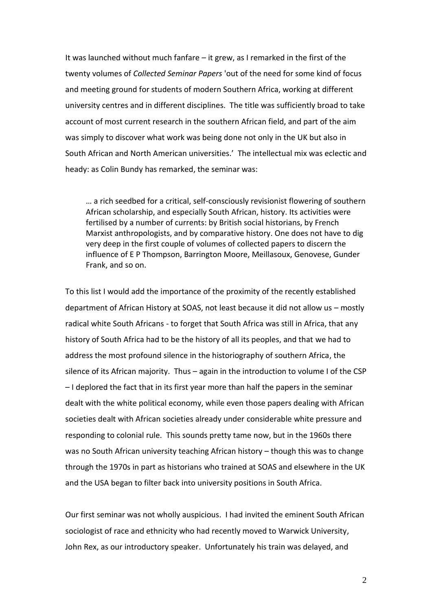It was launched without much fanfare – it grew, as I remarked in the first of the twenty volumes of *Collected Seminar Papers* 'out of the need for some kind of focus and meeting ground for students of modern Southern Africa, working at different university centres and in different disciplines. The title was sufficiently broad to take account of most current research in the southern African field, and part of the aim was simply to discover what work was being done not only in the UK but also in South African and North American universities.' The intellectual mix was eclectic and heady: as Colin Bundy has remarked, the seminar was:

… a rich seedbed for a critical, self-consciously revisionist flowering of southern African scholarship, and especially South African, history. Its activities were fertilised by a number of currents: by British social historians, by French Marxist anthropologists, and by comparative history. One does not have to dig very deep in the first couple of volumes of collected papers to discern the influence of E P Thompson, Barrington Moore, Meillasoux, Genovese, Gunder Frank, and so on.

To this list I would add the importance of the proximity of the recently established department of African History at SOAS, not least because it did not allow us – mostly radical white South Africans - to forget that South Africa was still in Africa, that any history of South Africa had to be the history of all its peoples, and that we had to address the most profound silence in the historiography of southern Africa, the silence of its African majority. Thus – again in the introduction to volume I of the CSP – I deplored the fact that in its first year more than half the papers in the seminar dealt with the white political economy, while even those papers dealing with African societies dealt with African societies already under considerable white pressure and responding to colonial rule. This sounds pretty tame now, but in the 1960s there was no South African university teaching African history – though this was to change through the 1970s in part as historians who trained at SOAS and elsewhere in the UK and the USA began to filter back into university positions in South Africa.

Our first seminar was not wholly auspicious. I had invited the eminent South African sociologist of race and ethnicity who had recently moved to Warwick University, John Rex, as our introductory speaker. Unfortunately his train was delayed, and

2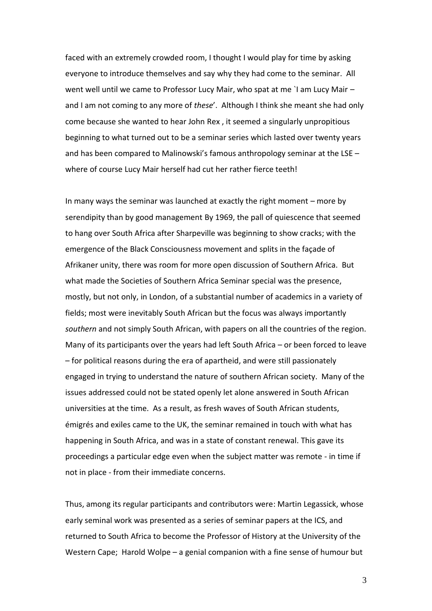faced with an extremely crowded room, I thought I would play for time by asking everyone to introduce themselves and say why they had come to the seminar. All went well until we came to Professor Lucy Mair, who spat at me `I am Lucy Mair – and I am not coming to any more of *these*'. Although I think she meant she had only come because she wanted to hear John Rex , it seemed a singularly unpropitious beginning to what turned out to be a seminar series which lasted over twenty years and has been compared to Malinowski's famous anthropology seminar at the LSE – where of course Lucy Mair herself had cut her rather fierce teeth!

In many ways the seminar was launched at exactly the right moment – more by serendipity than by good management By 1969, the pall of quiescence that seemed to hang over South Africa after Sharpeville was beginning to show cracks; with the emergence of the Black Consciousness movement and splits in the façade of Afrikaner unity, there was room for more open discussion of Southern Africa. But what made the Societies of Southern Africa Seminar special was the presence, mostly, but not only, in London, of a substantial number of academics in a variety of fields; most were inevitably South African but the focus was always importantly *southern* and not simply South African, with papers on all the countries of the region. Many of its participants over the years had left South Africa – or been forced to leave – for political reasons during the era of apartheid, and were still passionately engaged in trying to understand the nature of southern African society. Many of the issues addressed could not be stated openly let alone answered in South African universities at the time. As a result, as fresh waves of South African students, émigrés and exiles came to the UK, the seminar remained in touch with what has happening in South Africa, and was in a state of constant renewal. This gave its proceedings a particular edge even when the subject matter was remote - in time if not in place - from their immediate concerns.

Thus, among its regular participants and contributors were: Martin Legassick, whose early seminal work was presented as a series of seminar papers at the ICS, and returned to South Africa to become the Professor of History at the University of the Western Cape; Harold Wolpe – a genial companion with a fine sense of humour but

3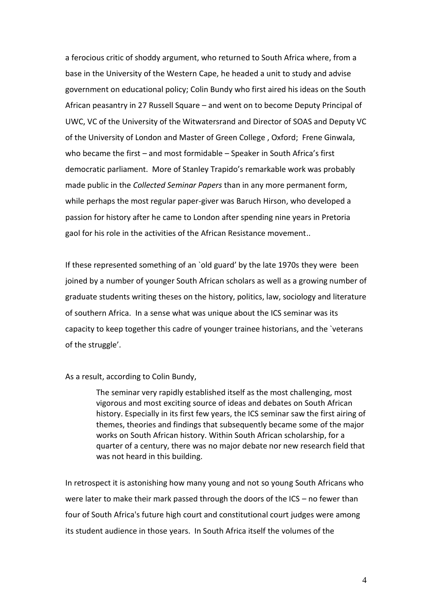a ferocious critic of shoddy argument, who returned to South Africa where, from a base in the University of the Western Cape, he headed a unit to study and advise government on educational policy; Colin Bundy who first aired his ideas on the South African peasantry in 27 Russell Square – and went on to become Deputy Principal of UWC, VC of the University of the Witwatersrand and Director of SOAS and Deputy VC of the University of London and Master of Green College , Oxford; Frene Ginwala, who became the first – and most formidable – Speaker in South Africa's first democratic parliament. More of Stanley Trapido's remarkable work was probably made public in the *Collected Seminar Papers* than in any more permanent form, while perhaps the most regular paper-giver was Baruch Hirson, who developed a passion for history after he came to London after spending nine years in Pretoria gaol for his role in the activities of the African Resistance movement..

If these represented something of an `old guard' by the late 1970s they were been joined by a number of younger South African scholars as well as a growing number of graduate students writing theses on the history, politics, law, sociology and literature of southern Africa. In a sense what was unique about the ICS seminar was its capacity to keep together this cadre of younger trainee historians, and the `veterans of the struggle'.

As a result, according to Colin Bundy,

The seminar very rapidly established itself as the most challenging, most vigorous and most exciting source of ideas and debates on South African history. Especially in its first few years, the ICS seminar saw the first airing of themes, theories and findings that subsequently became some of the major works on South African history. Within South African scholarship, for a quarter of a century, there was no major debate nor new research field that was not heard in this building.

In retrospect it is astonishing how many young and not so young South Africans who were later to make their mark passed through the doors of the ICS – no fewer than four of South Africa's future high court and constitutional court judges were among its student audience in those years. In South Africa itself the volumes of the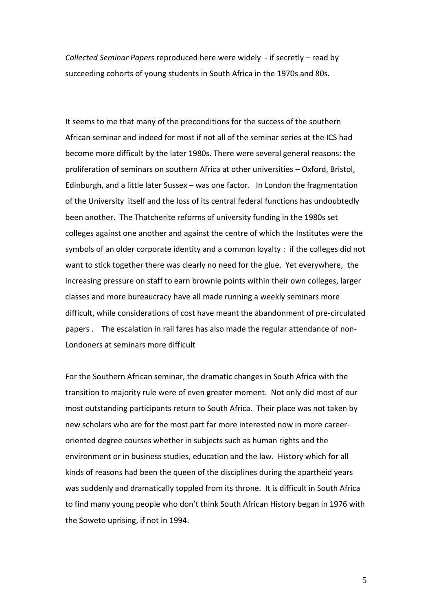*Collected Seminar Papers* reproduced here were widely - if secretly – read by succeeding cohorts of young students in South Africa in the 1970s and 80s.

It seems to me that many of the preconditions for the success of the southern African seminar and indeed for most if not all of the seminar series at the ICS had become more difficult by the later 1980s. There were several general reasons: the proliferation of seminars on southern Africa at other universities – Oxford, Bristol, Edinburgh, and a little later Sussex – was one factor. In London the fragmentation of the University itself and the loss of its central federal functions has undoubtedly been another. The Thatcherite reforms of university funding in the 1980s set colleges against one another and against the centre of which the Institutes were the symbols of an older corporate identity and a common loyalty : if the colleges did not want to stick together there was clearly no need for the glue. Yet everywhere, the increasing pressure on staff to earn brownie points within their own colleges, larger classes and more bureaucracy have all made running a weekly seminars more difficult, while considerations of cost have meant the abandonment of pre-circulated papers . The escalation in rail fares has also made the regular attendance of non-Londoners at seminars more difficult

For the Southern African seminar, the dramatic changes in South Africa with the transition to majority rule were of even greater moment. Not only did most of our most outstanding participants return to South Africa. Their place was not taken by new scholars who are for the most part far more interested now in more careeroriented degree courses whether in subjects such as human rights and the environment or in business studies, education and the law. History which for all kinds of reasons had been the queen of the disciplines during the apartheid years was suddenly and dramatically toppled from its throne. It is difficult in South Africa to find many young people who don't think South African History began in 1976 with the Soweto uprising, if not in 1994.

5